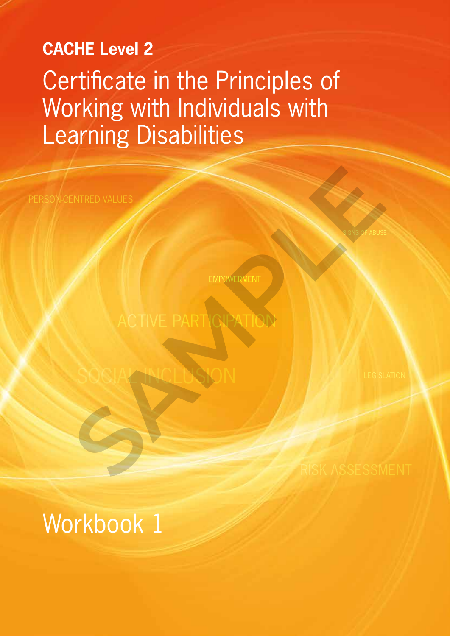# **CACHE Level 2** Certificate in the Principles of Working with Individuals with Learning Disabilities

EMPOWERMENT

ENTRED VALUES<br>ACTIVE PARTIGRATION

SOCIAL INCLUSION

SIGNS OF ABUSE

Workbook 1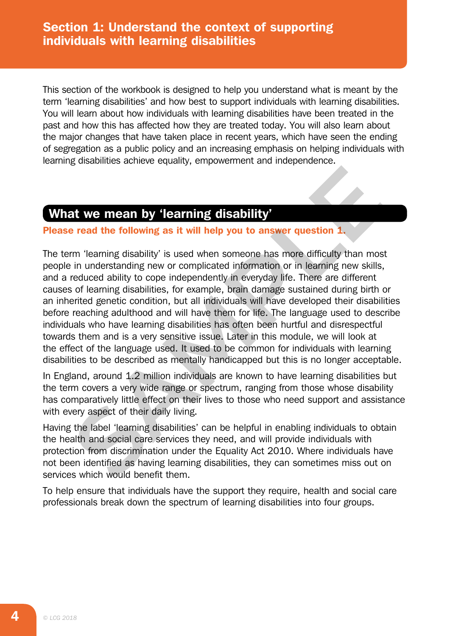This section of the workbook is designed to help you understand what is meant by the term 'learning disabilities' and how best to support individuals with learning disabilities. You will learn about how individuals with learning disabilities have been treated in the past and how this has affected how they are treated today. You will also learn about the major changes that have taken place in recent years, which have seen the ending of segregation as a public policy and an increasing emphasis on helping individuals with learning disabilities achieve equality, empowerment and independence.

# What we mean by 'learning disability'

### Please read the following as it will help you to answer question 1.

The term 'learning disability' is used when someone has more difficulty than most people in understanding new or complicated information or in learning new skills, and a reduced ability to cope independently in everyday life. There are different causes of learning disabilities, for example, brain damage sustained during birth or an inherited genetic condition, but all individuals will have developed their disabilities before reaching adulthood and will have them for life. The language used to describe individuals who have learning disabilities has often been hurtful and disrespectful towards them and is a very sensitive issue. Later in this module, we will look at the effect of the language used. It used to be common for individuals with learning disabilities to be described as mentally handicapped but this is no longer acceptable. **Example 10 Solution Solution Constrained Solution** (**Stability** and May the metrical discrete the following as it will help you to answer question 1. Im understanding new or complicated information or in learning new sk

In England, around 1.2 million individuals are known to have learning disabilities but the term covers a very wide range or spectrum, ranging from those whose disability has comparatively little effect on their lives to those who need support and assistance with every aspect of their daily living.

Having the label 'learning disabilities' can be helpful in enabling individuals to obtain the health and social care services they need, and will provide individuals with protection from discrimination under the Equality Act 2010. Where individuals have not been identified as having learning disabilities, they can sometimes miss out on services which would benefit them.

To help ensure that individuals have the support they require, health and social care professionals break down the spectrum of learning disabilities into four groups.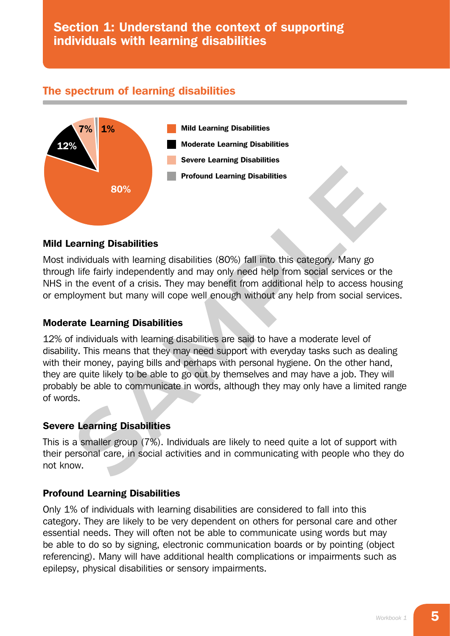# Section 1: Understand the context of supporting individuals with learning disabilities

## The spectrum of learning disabilities



#### Mild Learning Disabilities

Most individuals with learning disabilities (80%) fall into this category. Many go through life fairly independently and may only need help from social services or the NHS in the event of a crisis. They may benefit from additional help to access housing or employment but many will cope well enough without any help from social services.

#### Moderate Learning Disabilities

12% of individuals with learning disabilities are said to have a moderate level of disability. This means that they may need support with everyday tasks such as dealing with their money, paying bills and perhaps with personal hygiene. On the other hand, they are quite likely to be able to go out by themselves and may have a job. They will probably be able to communicate in words, although they may only have a limited range of words. **Example 10 Example 10 Example 10 Example 10 Example 10 Example 10 Example 10 Example 10 Example 10 Example 10 Example 10 Example 10 Example 10 Example 10 Example 10 Example 10 Example 10**

### Severe Learning Disabilities

This is a smaller group (7%). Individuals are likely to need quite a lot of support with their personal care, in social activities and in communicating with people who they do not know.

### Profound Learning Disabilities

Only 1% of individuals with learning disabilities are considered to fall into this category. They are likely to be very dependent on others for personal care and other essential needs. They will often not be able to communicate using words but may be able to do so by signing, electronic communication boards or by pointing (object referencing). Many will have additional health complications or impairments such as epilepsy, physical disabilities or sensory impairments.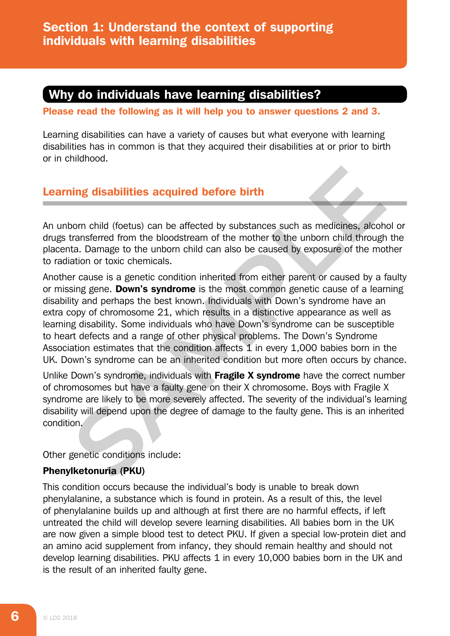# Why do individuals have learning disabilities?

Please read the following as it will help you to answer questions 2 and 3.

Learning disabilities can have a variety of causes but what everyone with learning disabilities has in common is that they acquired their disabilities at or prior to birth or in childhood.

# Learning disabilities acquired before birth

An unborn child (foetus) can be affected by substances such as medicines, alcohol or drugs transferred from the bloodstream of the mother to the unborn child through the placenta. Damage to the unborn child can also be caused by exposure of the mother to radiation or toxic chemicals.

Another cause is a genetic condition inherited from either parent or caused by a faulty or missing gene. **Down's syndrome** is the most common genetic cause of a learning disability and perhaps the best known. Individuals with Down's syndrome have an extra copy of chromosome 21, which results in a distinctive appearance as well as learning disability. Some individuals who have Down's syndrome can be susceptible to heart defects and a range of other physical problems. The Down's Syndrome Association estimates that the condition affects 1 in every 1,000 babies born in the UK. Down's syndrome can be an inherited condition but more often occurs by chance. **Example 10**<br>**SAMPLE THEONG CONDEG SECUTE:**<br>**SAMPLE THEONG CONDEGATION CONDEGATION CONDED SCALUTE:**<br>**SAMPLE TO A SAMPLE CONDEGATION CONDEGATION** and on toxic chemicals.<br>
For cause is a genetic condition inherited from eith

Unlike Down's syndrome, individuals with Fragile X syndrome have the correct number of chromosomes but have a faulty gene on their X chromosome. Boys with Fragile X syndrome are likely to be more severely affected. The severity of the individual's learning disability will depend upon the degree of damage to the faulty gene. This is an inherited condition.

Other genetic conditions include:

### Phenylketonuria (PKU)

This condition occurs because the individual's body is unable to break down phenylalanine, a substance which is found in protein. As a result of this, the level of phenylalanine builds up and although at first there are no harmful effects, if left untreated the child will develop severe learning disabilities. All babies born in the UK are now given a simple blood test to detect PKU. If given a special low-protein diet and an amino acid supplement from infancy, they should remain healthy and should not develop learning disabilities. PKU affects 1 in every 10,000 babies born in the UK and is the result of an inherited faulty gene.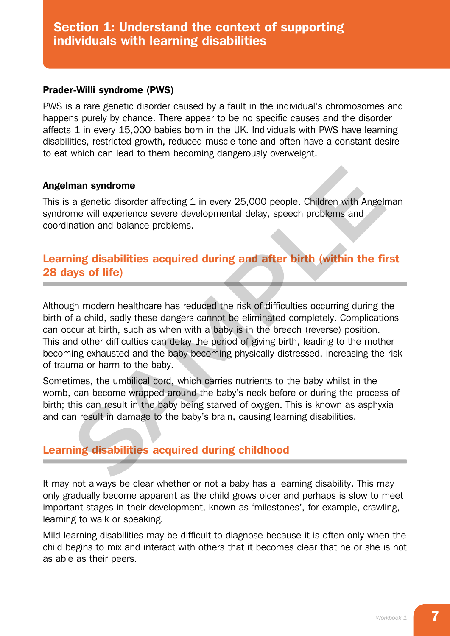#### Prader-Willi syndrome (PWS)

PWS is a rare genetic disorder caused by a fault in the individual's chromosomes and happens purely by chance. There appear to be no specific causes and the disorder affects 1 in every 15,000 babies born in the UK. Individuals with PWS have learning disabilities, restricted growth, reduced muscle tone and often have a constant desire to eat which can lead to them becoming dangerously overweight.

### Angelman syndrome

This is a genetic disorder affecting 1 in every 25,000 people. Children with Angelman syndrome will experience severe developmental delay, speech problems and coordination and balance problems.

# Learning disabilities acquired during and after birth (within the first 28 days of life)

Although modern healthcare has reduced the risk of difficulties occurring during the birth of a child, sadly these dangers cannot be eliminated completely. Complications can occur at birth, such as when with a baby is in the breech (reverse) position. This and other difficulties can delay the period of giving birth, leading to the mother becoming exhausted and the baby becoming physically distressed, increasing the risk of trauma or harm to the baby. man syndrome<br>
a genetic disorder affecting 1 in every 25,000 people. Children with Angelm<br>
me will experience severe developmental delay, speech problems and<br>
intime and balance problems.<br> **SAMPLE EXECUTE:**<br> **SAMPLE AND SE** 

Sometimes, the umbilical cord, which carries nutrients to the baby whilst in the womb, can become wrapped around the baby's neck before or during the process of birth; this can result in the baby being starved of oxygen. This is known as asphyxia and can result in damage to the baby's brain, causing learning disabilities.

# Learning disabilities acquired during childhood

It may not always be clear whether or not a baby has a learning disability. This may only gradually become apparent as the child grows older and perhaps is slow to meet important stages in their development, known as 'milestones', for example, crawling, learning to walk or speaking.

Mild learning disabilities may be difficult to diagnose because it is often only when the child begins to mix and interact with others that it becomes clear that he or she is not as able as their peers.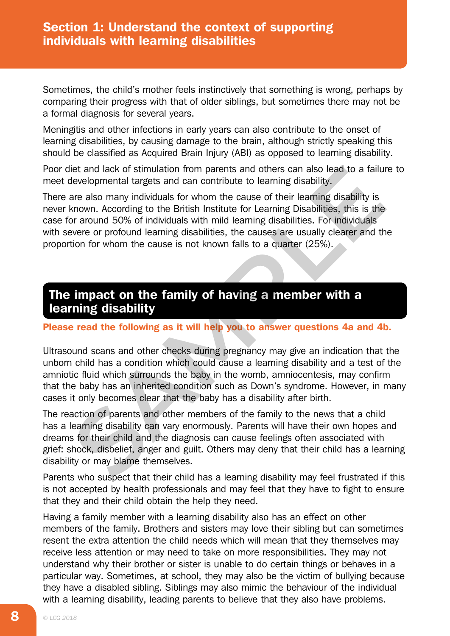Sometimes, the child's mother feels instinctively that something is wrong, perhaps by comparing their progress with that of older siblings, but sometimes there may not be a formal diagnosis for several years.

Meningitis and other infections in early years can also contribute to the onset of learning disabilities, by causing damage to the brain, although strictly speaking this should be classified as Acquired Brain Injury (ABI) as opposed to learning disability.

Poor diet and lack of stimulation from parents and others can also lead to a failure to meet developmental targets and can contribute to learning disability.

There are also many individuals for whom the cause of their learning disability is never known. According to the British Institute for Learning Disabilities, this is the case for around 50% of individuals with mild learning disabilities. For individuals with severe or profound learning disabilities, the causes are usually clearer and the proportion for whom the cause is not known falls to a quarter (25%). iet and lack of stimulation from parents and others can also lead to a failurevelopmental targets and can contribute to learning disability,<br>are also many individuals for whom the cause of their learning disability is<br>are

# The impact on the family of having a member with a learning disability

#### Please read the following as it will help you to answer questions 4a and 4b.

Ultrasound scans and other checks during pregnancy may give an indication that the unborn child has a condition which could cause a learning disability and a test of the amniotic fluid which surrounds the baby in the womb, amniocentesis, may confirm that the baby has an inherited condition such as Down's syndrome. However, in many cases it only becomes clear that the baby has a disability after birth.

The reaction of parents and other members of the family to the news that a child has a learning disability can vary enormously. Parents will have their own hopes and dreams for their child and the diagnosis can cause feelings often associated with grief: shock, disbelief, anger and guilt. Others may deny that their child has a learning disability or may blame themselves.

Parents who suspect that their child has a learning disability may feel frustrated if this is not accepted by health professionals and may feel that they have to fight to ensure that they and their child obtain the help they need.

Having a family member with a learning disability also has an effect on other members of the family. Brothers and sisters may love their sibling but can sometimes resent the extra attention the child needs which will mean that they themselves may receive less attention or may need to take on more responsibilities. They may not understand why their brother or sister is unable to do certain things or behaves in a particular way. Sometimes, at school, they may also be the victim of bullying because they have a disabled sibling. Siblings may also mimic the behaviour of the individual with a learning disability, leading parents to believe that they also have problems.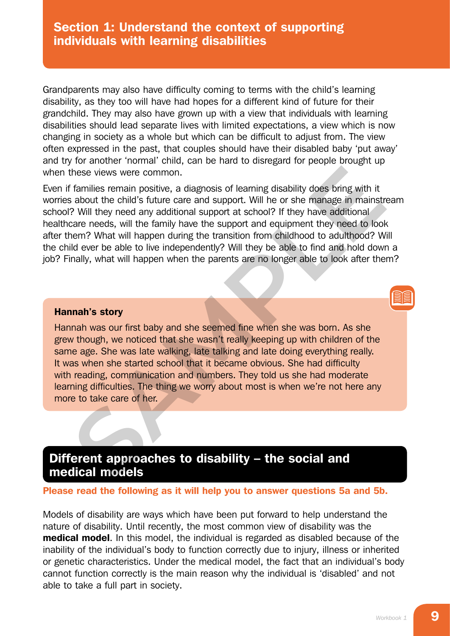# Section 1: Understand the context of supporting individuals with learning disabilities

Grandparents may also have difficulty coming to terms with the child's learning disability, as they too will have had hopes for a different kind of future for their grandchild. They may also have grown up with a view that individuals with learning disabilities should lead separate lives with limited expectations, a view which is now changing in society as a whole but which can be difficult to adjust from. The view often expressed in the past, that couples should have their disabled baby 'put away' and try for another 'normal' child, can be hard to disregard for people brought up when these views were common.

Even if families remain positive, a diagnosis of learning disability does bring with it worries about the child's future care and support. Will he or she manage in mainstream school? Will they need any additional support at school? If they have additional healthcare needs, will the family have the support and equipment they need to look after them? What will happen during the transition from childhood to adulthood? Will the child ever be able to live independently? Will they be able to find and hold down a job? Finally, what will happen when the parents are no longer able to look after them? these views were common.<br>
I families remain positive, a diagnosis of learning disability does bring with it<br>
shoot the child's future care and support. Will he or she manage in mianistral<br>
Shoot the child's future care and

#### Hannah's story

Hannah was our first baby and she seemed fine when she was born. As she grew though, we noticed that she wasn't really keeping up with children of the same age. She was late walking, late talking and late doing everything really. It was when she started school that it became obvious. She had difficulty with reading, communication and numbers. They told us she had moderate learning difficulties. The thing we worry about most is when we're not here any more to take care of her.

# Different approaches to disability – the social and medical models

#### Please read the following as it will help you to answer questions 5a and 5b.

Models of disability are ways which have been put forward to help understand the nature of disability. Until recently, the most common view of disability was the medical model. In this model, the individual is regarded as disabled because of the inability of the individual's body to function correctly due to injury, illness or inherited or genetic characteristics. Under the medical model, the fact that an individual's body cannot function correctly is the main reason why the individual is 'disabled' and not able to take a full part in society.